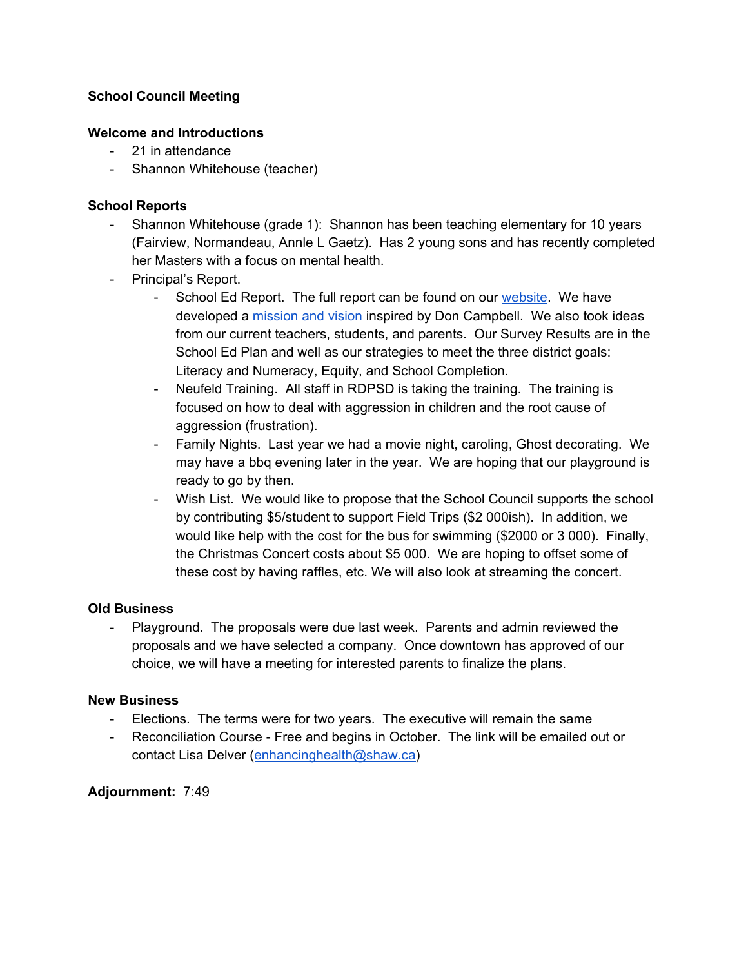# **School Council Meeting**

### **Welcome and Introductions**

- 21 in attendance
- Shannon Whitehouse (teacher)

### **School Reports**

- Shannon Whitehouse (grade 1): Shannon has been teaching elementary for 10 years (Fairview, Normandeau, Annle L Gaetz). Has 2 young sons and has recently completed her Masters with a focus on mental health.
- Principal's Report.
	- School Ed Report. The full report can be found on our [website](http://doncampbell.rdpsd.ab.ca/documents/general/DCE%20-%20School%20Ed%20Plan%20Full%20Version%202018-2019%20to%202020-2021.pdf). We have developed a [mission](http://doncampbell.rdpsd.ab.ca/Mission.php) and vision inspired by Don Campbell. We also took ideas from our current teachers, students, and parents. Our Survey Results are in the School Ed Plan and well as our strategies to meet the three district goals: Literacy and Numeracy, Equity, and School Completion.
	- Neufeld Training. All staff in RDPSD is taking the training. The training is focused on how to deal with aggression in children and the root cause of aggression (frustration).
	- Family Nights. Last year we had a movie night, caroling, Ghost decorating. We may have a bbq evening later in the year. We are hoping that our playground is ready to go by then.
	- Wish List. We would like to propose that the School Council supports the school by contributing \$5/student to support Field Trips (\$2 000ish). In addition, we would like help with the cost for the bus for swimming (\$2000 or 3 000). Finally, the Christmas Concert costs about \$5 000. We are hoping to offset some of these cost by having raffles, etc. We will also look at streaming the concert.

### **Old Business**

- Playground. The proposals were due last week. Parents and admin reviewed the proposals and we have selected a company. Once downtown has approved of our choice, we will have a meeting for interested parents to finalize the plans.

### **New Business**

- Elections. The terms were for two years. The executive will remain the same
- Reconciliation Course Free and begins in October. The link will be emailed out or contact Lisa Delver [\(enhancinghealth@shaw.ca](mailto:enhancinghealth@shaw.ca))

**Adjournment:** 7:49